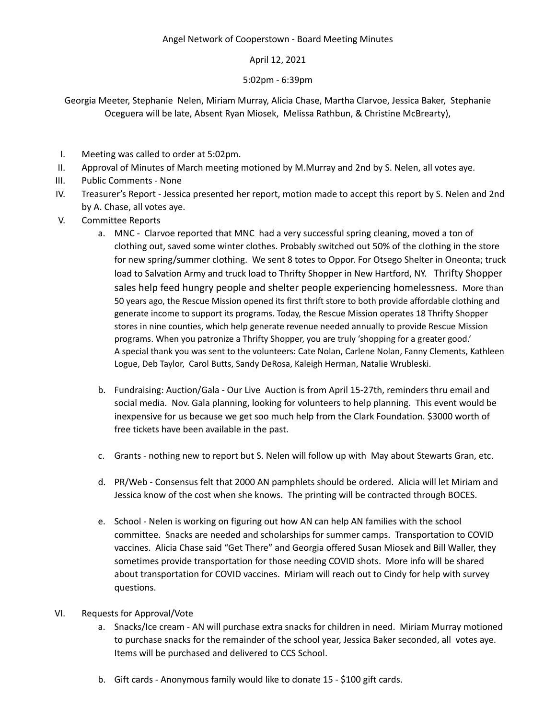## April 12, 2021

## 5:02pm - 6:39pm

Georgia Meeter, Stephanie Nelen, Miriam Murray, Alicia Chase, Martha Clarvoe, Jessica Baker, Stephanie Oceguera will be late, Absent Ryan Miosek, Melissa Rathbun, & Christine McBrearty),

- I. Meeting was called to order at 5:02pm.
- II. Approval of Minutes of March meeting motioned by M.Murray and 2nd by S. Nelen, all votes aye.
- III. Public Comments None
- IV. Treasurer's Report Jessica presented her report, motion made to accept this report by S. Nelen and 2nd by A. Chase, all votes aye.
- V. Committee Reports
	- a. MNC Clarvoe reported that MNC had a very successful spring cleaning, moved a ton of clothing out, saved some winter clothes. Probably switched out 50% of the clothing in the store for new spring/summer clothing. We sent 8 totes to Oppor. For Otsego Shelter in Oneonta; truck load to Salvation Army and truck load to Thrifty Shopper in New Hartford, NY. Thrifty Shopper sales help feed hungry people and shelter people experiencing homelessness. More than 50 years ago, the Rescue Mission opened its first thrift store to both provide affordable clothing and generate income to support its programs. Today, the Rescue Mission operates [18 Thrifty Shopper](https://www.ishopthrifty.org/locations/) [stores](https://www.ishopthrifty.org/locations/) in nine counties, which help generate revenue needed annually to provide Rescue Mission programs. When you patronize a Thrifty Shopper, you are truly 'shopping for a greater good.' A special thank you was sent to the volunteers: Cate Nolan, Carlene Nolan, Fanny Clements, Kathleen Logue, Deb Taylor, Carol Butts, Sandy DeRosa, Kaleigh Herman, Natalie Wrubleski.
	- b. Fundraising: Auction/Gala Our Live Auction is from April 15-27th, reminders thru email and social media. Nov. Gala planning, looking for volunteers to help planning. This event would be inexpensive for us because we get soo much help from the Clark Foundation. \$3000 worth of free tickets have been available in the past.
	- c. Grants nothing new to report but S. Nelen will follow up with May about Stewarts Gran, etc.
	- d. PR/Web Consensus felt that 2000 AN pamphlets should be ordered. Alicia will let Miriam and Jessica know of the cost when she knows. The printing will be contracted through BOCES.
	- e. School Nelen is working on figuring out how AN can help AN families with the school committee. Snacks are needed and scholarships for summer camps. Transportation to COVID vaccines. Alicia Chase said "Get There" and Georgia offered Susan Miosek and Bill Waller, they sometimes provide transportation for those needing COVID shots. More info will be shared about transportation for COVID vaccines. Miriam will reach out to Cindy for help with survey questions.
- VI. Requests for Approval/Vote
	- a. Snacks/Ice cream AN will purchase extra snacks for children in need. Miriam Murray motioned to purchase snacks for the remainder of the school year, Jessica Baker seconded, all votes aye. Items will be purchased and delivered to CCS School.
	- b. Gift cards Anonymous family would like to donate 15 \$100 gift cards.